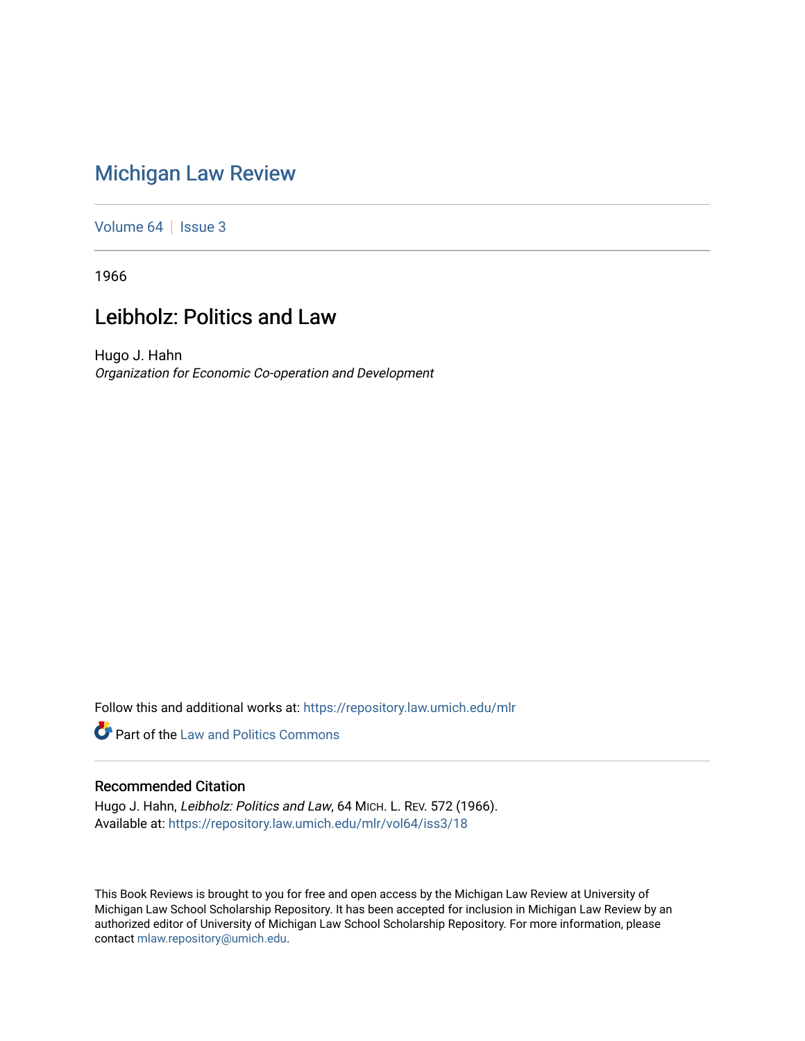## [Michigan Law Review](https://repository.law.umich.edu/mlr)

[Volume 64](https://repository.law.umich.edu/mlr/vol64) | [Issue 3](https://repository.law.umich.edu/mlr/vol64/iss3)

1966

## Leibholz: Politics and Law

Hugo J. Hahn Organization for Economic Co-operation and Development

Follow this and additional works at: [https://repository.law.umich.edu/mlr](https://repository.law.umich.edu/mlr?utm_source=repository.law.umich.edu%2Fmlr%2Fvol64%2Fiss3%2F18&utm_medium=PDF&utm_campaign=PDFCoverPages) 

**P** Part of the Law and Politics Commons

## Recommended Citation

Hugo J. Hahn, Leibholz: Politics and Law, 64 MICH. L. REV. 572 (1966). Available at: [https://repository.law.umich.edu/mlr/vol64/iss3/18](https://repository.law.umich.edu/mlr/vol64/iss3/18?utm_source=repository.law.umich.edu%2Fmlr%2Fvol64%2Fiss3%2F18&utm_medium=PDF&utm_campaign=PDFCoverPages) 

This Book Reviews is brought to you for free and open access by the Michigan Law Review at University of Michigan Law School Scholarship Repository. It has been accepted for inclusion in Michigan Law Review by an authorized editor of University of Michigan Law School Scholarship Repository. For more information, please contact [mlaw.repository@umich.edu](mailto:mlaw.repository@umich.edu).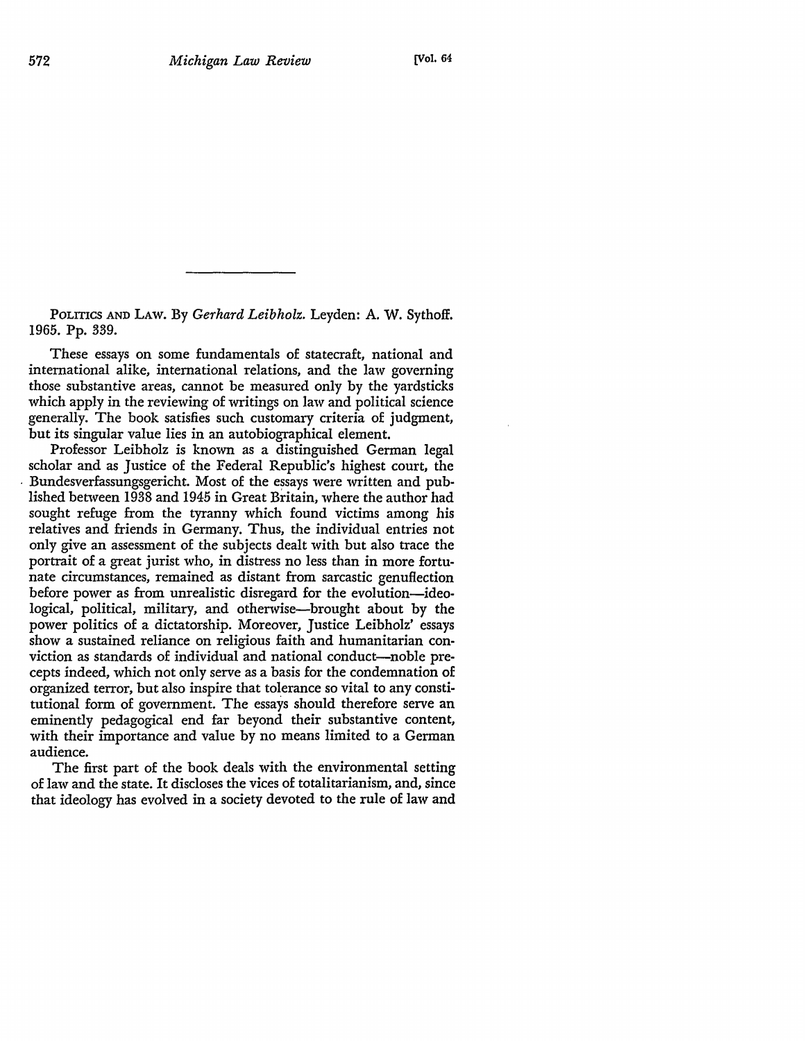POLITICS AND LAW. By *Gerhard Leibholz.* Leyden: A. W. Sythoff. 1965. Pp. 339.

These essays on some fundamentals of statecraft, national and international alike, international relations, and the law governing those substantive areas, cannot be measured only by the yardsticks which apply in the reviewing of writings on law and political science generally. The book satisfies such customary criteria of judgment, but its singular value lies in an autobiographical element.

Professor Leibholz is known as a distinguished German legal scholar and as Justice of the Federal Republic's highest court, the Bundesverfassungsgericht. Most of the essays were written and published between 1938 and 1945 in Great Britain, where the author had sought refuge from the tyranny which found victims among his relatives and friends in Germany. Thus, the individual entries not only give an assessment of the subjects dealt with but also trace the portrait of a great jurist who, in distress no less than in more fortunate circumstances, remained as distant from sarcastic genuflection before power as from unrealistic disregard for the evolution-ideological, political, military, and otherwise—brought about by the power politics of a dictatorship. Moreover, Justice Leibholz' essays show a sustained reliance on religious faith and humanitarian conviction as standards of individual and national conduct-noble precepts indeed, which not only serve as a basis for the condemnation of organized terror, but also inspire that tol\_erance so vital to any constitutional form of government. The essays should therefore serve an eminently pedagogical end far beyond their substantive content, with their importance and value by no means limited to a German audience.

The first part of the book deals with the environmental setting of law and the state. It discloses the vices of totalitarianism, and, since that ideology has evolved in a society devoted to the rule of law and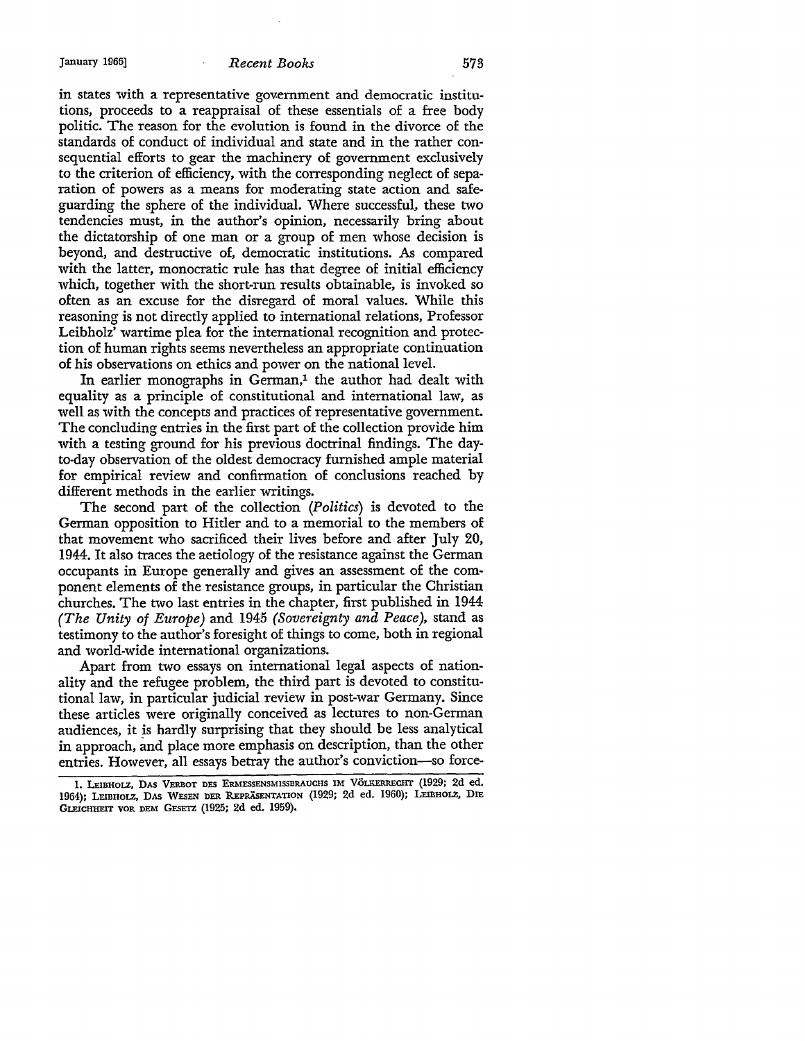in states with a representative government and democratic institutions, proceeds to a reappraisal of these essentials of a free body politic. The reason for the evolution is found in the divorce of the standards of conduct of individual and state and in the rather consequential efforts to gear the machinery of government exclusively to the criterion of efficiency, with the corresponding neglect of separation of powers as a means for moderating state action and safeguarding the sphere of the individual. Where successful, these two tendencies must, in the author's opinion, necessarily bring about the dictatorship of one man or a group of men whose decision is beyond, and destructive of, democratic institutions. *As* compared with the latter, monocratic rule has that degree of initial efficiency which, together with the short-run results obtainable, is invoked so often as an excuse for the disregard of moral values. While this reasoning is not directly applied to international relations, Professor Leibholz' wartime plea for the international recognition and protection of human rights seems nevertheless an appropriate continuation of his observations on ethics and power on the national level.

In earlier monographs in German, $<sup>1</sup>$  the author had dealt with</sup> equality as a principle of constitutional and international law, as well as with the concepts and practices of representative government. The concluding entries in the first part of the collection provide him with a testing ground for his previous doctrinal findings. The dayto-day observation of the oldest democracy furnished ample material for empirical review and confirmation of conclusions reached by different methods in the earlier writings.

The second part of the collection *(Politics)* is devoted to the German opposition to Hitler and to a memorial to the members of that movement who sacrificed their lives before and after July 20, 1944. It also traces the aetiology of the resistance against the German occupants in Europe generally and gives an assessment of the component elements of the resistance groups, in particular the Christian churches. The two last entries in the chapter, first published in 1944 *(The Unity of Europe)* and 1945 *(Sovereignty and Peace),* stand as testimony to the author's foresight of things to come, both in regional and world-wide international organizations.

Apart from two essays on international legal aspects of nationality and the refugee problem, the third part is devoted to constitutional law, in particular judicial review in post-war Germany. Since these articles were originally conceived as lectures to non-German audiences, it is hardly surprising that they should be less analytical in approach, and place more emphasis on description, than the other entries. However, all essays betray the author's conviction-so force-

<sup>1.</sup> LEIBHOLZ, DAS VERBOT DES ERMESSENSMISSBRAUCHS IM VÖLKERRECHT (1929; 2d ed. 1964); LEIBHOLZ, DAS WESEN DER REPRASENTATION (1929; 2d ed. 1960); LEIBHOLZ, DIE GLEICHHEIT VOR DEM GESETZ (1925; 2d ed. 1959).